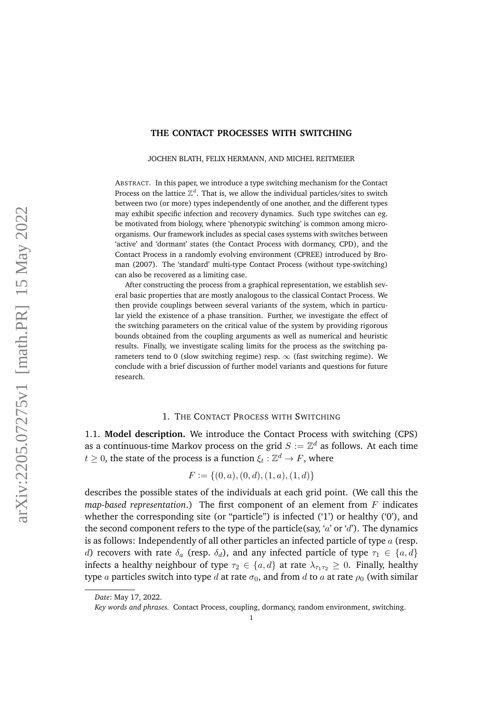### **THE CONTACT PROCESSES WITH SWITCHING**

JOCHEN BLATH, FELIX HERMANN, AND MICHEL REITMEIER

ABSTRACT. In this paper, we introduce a type switching mechanism for the Contact Process on the lattice  $\mathbb{Z}^d$ . That is, we allow the individual particles/sites to switch between two (or more) types independently of one another, and the different types may exhibit specific infection and recovery dynamics. Such type switches can eg. be motivated from biology, where 'phenotypic switching' is common among microorganisms. Our framework includes as special cases systems with switches between 'active' and 'dormant' states (the Contact Process with dormancy, CPD), and the Contact Process in a randomly evolving environment (CPREE) introduced by Broman (2007). The 'standard' multi-type Contact Process (without type-switching) can also be recovered as a limiting case.

After constructing the process from a graphical representation, we establish several basic properties that are mostly analogous to the classical Contact Process. We then provide couplings between several variants of the system, which in particular yield the existence of a phase transition. Further, we investigate the effect of the switching parameters on the critical value of the system by providing rigorous bounds obtained from the coupling arguments as well as numerical and heuristic results. Finally, we investigate scaling limits for the process as the switching parameters tend to 0 (slow switching regime) resp.  $\infty$  (fast switching regime). We conclude with a brief discussion of further model variants and questions for future research.

### 1. THE CONTACT PROCESS WITH SWITCHING

1.1. **Model description.** We introduce the Contact Process with switching (CPS) as a continuous-time Markov process on the grid  $S := \mathbb{Z}^d$  as follows. At each time  $t\geq 0,$  the state of the process is a function  $\xi_t:\mathbb{Z}^d\to F,$  where

$$
F := \{(0, a), (0, d), (1, a), (1, d)\}
$$

describes the possible states of the individuals at each grid point. (We call this the *map-based representation*.) The first component of an element from F indicates whether the corresponding site (or "particle") is infected ('1') or healthy ('0'), and the second component refers to the type of the particle(say, 'a' or 'd'). The dynamics is as follows: Independently of all other particles an infected particle of type  $a$  (resp. d) recovers with rate  $\delta_a$  (resp.  $\delta_d$ ), and any infected particle of type  $\tau_1 \in \{a, d\}$ infects a healthy neighbour of type  $\tau_2 \in \{a, d\}$  at rate  $\lambda_{\tau_1 \tau_2} \geq 0$ . Finally, healthy type a particles switch into type d at rate  $\sigma_0$ , and from d to a at rate  $\rho_0$  (with similar

*Date*: May 17, 2022.

*Key words and phrases.* Contact Process, coupling, dormancy, random environment, switching.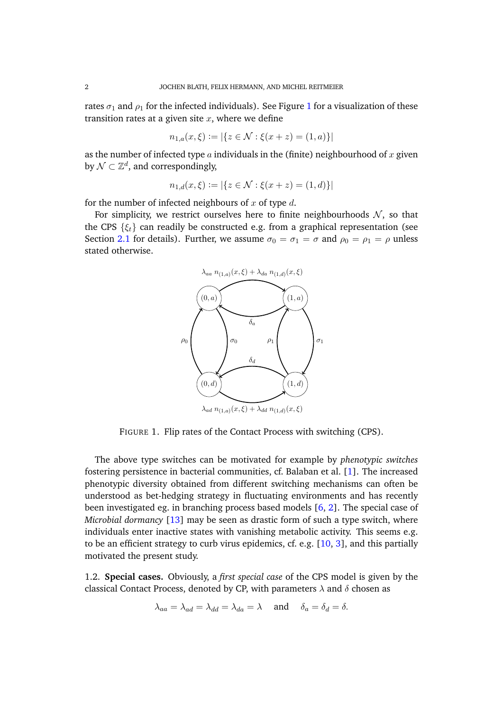rates  $\sigma_1$  $\sigma_1$  and  $\rho_1$  for the infected individuals). See Figure 1 for a visualization of these transition rates at a given site  $x$ , where we define

$$
n_{1,a}(x,\xi) := |\{ z \in \mathcal{N} : \xi(x+z) = (1,a) \}|
$$

as the number of infected type  $\alpha$  individuals in the (finite) neighbourhood of  $x$  given by  $\mathcal{N} \subset \mathbb{Z}^d$ , and correspondingly,

$$
n_{1,d}(x,\xi) := |\{ z \in \mathcal{N} : \xi(x+z) = (1,d) \}|
$$

for the number of infected neighbours of x of type  $d$ .

<span id="page-1-0"></span>For simplicity, we restrict ourselves here to finite neighbourhoods  $N$ , so that the CPS  $\{\xi_t\}$  can readily be constructed e.g. from a graphical representation (see Section [2.1](#page-2-0) for details). Further, we assume  $\sigma_0 = \sigma_1 = \sigma$  and  $\rho_0 = \rho_1 = \rho$  unless stated otherwise.



FIGURE 1. Flip rates of the Contact Process with switching (CPS).

The above type switches can be motivated for example by *phenotypic switches* fostering persistence in bacterial communities, cf. Balaban et al. [\[1\]](#page-18-0). The increased phenotypic diversity obtained from different switching mechanisms can often be understood as bet-hedging strategy in fluctuating environments and has recently been investigated eg. in branching process based models [\[6,](#page-18-1) [2\]](#page-18-2). The special case of *Microbial dormancy* [\[13\]](#page-18-3) may be seen as drastic form of such a type switch, where individuals enter inactive states with vanishing metabolic activity. This seems e.g. to be an efficient strategy to curb virus epidemics, cf. e.g. [\[10,](#page-18-4) [3\]](#page-18-5), and this partially motivated the present study.

1.2. **Special cases.** Obviously, a *first special case* of the CPS model is given by the classical Contact Process, denoted by CP, with parameters  $\lambda$  and  $\delta$  chosen as

$$
\lambda_{aa} = \lambda_{ad} = \lambda_{dd} = \lambda_{da} = \lambda \quad \text{and} \quad \delta_a = \delta_d = \delta.
$$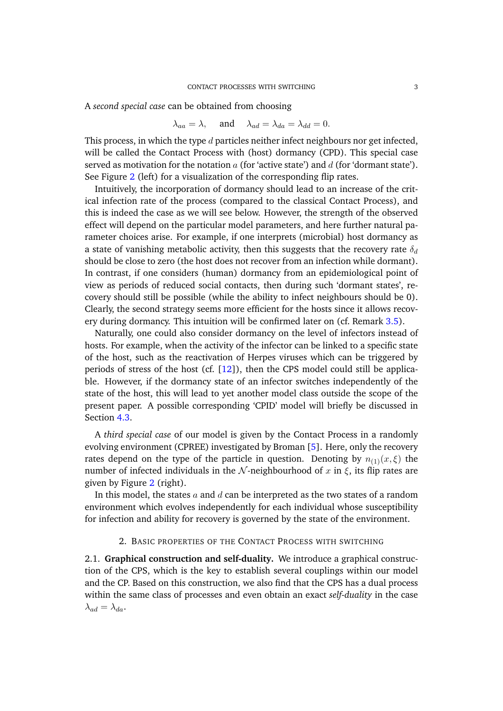A *second special case* can be obtained from choosing

$$
\lambda_{aa} = \lambda
$$
, and  $\lambda_{ad} = \lambda_{da} = \lambda_{dd} = 0$ .

This process, in which the type  $d$  particles neither infect neighbours nor get infected, will be called the Contact Process with (host) dormancy (CPD). This special case served as motivation for the notation  $a$  (for 'active state') and  $d$  (for 'dormant state'). See Figure [2](#page-3-0) (left) for a visualization of the corresponding flip rates.

Intuitively, the incorporation of dormancy should lead to an increase of the critical infection rate of the process (compared to the classical Contact Process), and this is indeed the case as we will see below. However, the strength of the observed effect will depend on the particular model parameters, and here further natural parameter choices arise. For example, if one interprets (microbial) host dormancy as a state of vanishing metabolic activity, then this suggests that the recovery rate  $\delta_d$ should be close to zero (the host does not recover from an infection while dormant). In contrast, if one considers (human) dormancy from an epidemiological point of view as periods of reduced social contacts, then during such 'dormant states', recovery should still be possible (while the ability to infect neighbours should be 0). Clearly, the second strategy seems more efficient for the hosts since it allows recovery during dormancy. This intuition will be confirmed later on (cf. Remark [3.5\)](#page-10-0).

Naturally, one could also consider dormancy on the level of infectors instead of hosts. For example, when the activity of the infector can be linked to a specific state of the host, such as the reactivation of Herpes viruses which can be triggered by periods of stress of the host (cf.  $[12]$ ), then the CPS model could still be applicable. However, if the dormancy state of an infector switches independently of the state of the host, this will lead to yet another model class outside the scope of the present paper. A possible corresponding 'CPID' model will briefly be discussed in Section [4.3.](#page-14-0)

A *third special case* of our model is given by the Contact Process in a randomly evolving environment (CPREE) investigated by Broman [\[5\]](#page-18-7). Here, only the recovery rates depend on the type of the particle in question. Denoting by  $n_{(1)}(x,\xi)$  the number of infected individuals in the N-neighbourhood of x in  $\xi$ , its flip rates are given by Figure [2](#page-3-0) (right).

In this model, the states  $\alpha$  and  $\beta$  can be interpreted as the two states of a random environment which evolves independently for each individual whose susceptibility for infection and ability for recovery is governed by the state of the environment.

# 2. BASIC PROPERTIES OF THE CONTACT PROCESS WITH SWITCHING

<span id="page-2-0"></span>2.1. **Graphical construction and self-duality.** We introduce a graphical construction of the CPS, which is the key to establish several couplings within our model and the CP. Based on this construction, we also find that the CPS has a dual process within the same class of processes and even obtain an exact *self-duality* in the case  $\lambda_{ad} = \lambda_{da}.$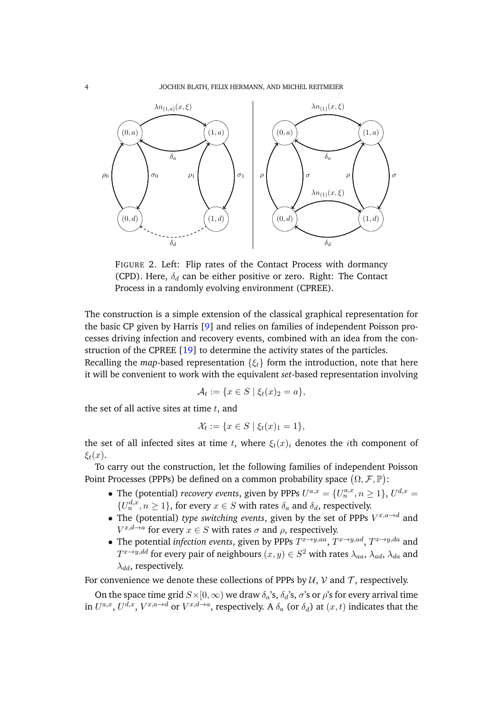<span id="page-3-0"></span>

FIGURE 2. Left: Flip rates of the Contact Process with dormancy (CPD). Here,  $\delta_d$  can be either positive or zero. Right: The Contact Process in a randomly evolving environment (CPREE).

The construction is a simple extension of the classical graphical representation for the basic CP given by Harris [\[9\]](#page-18-8) and relies on families of independent Poisson processes driving infection and recovery events, combined with an idea from the construction of the CPREE [\[19\]](#page-19-0) to determine the activity states of the particles.

Recalling the *map*-based representation  $\{\xi_t\}$  form the introduction, note that here it will be convenient to work with the equivalent *set*-based representation involving

$$
\mathcal{A}_t := \{ x \in S \mid \xi_t(x)_2 = a \},
$$

the set of all active sites at time  $t$ , and

$$
\mathcal{X}_t := \{ x \in S \mid \xi_t(x)_1 = 1 \},\
$$

the set of all infected sites at time t, where  $\xi_t(x)_i$  denotes the *i*th component of  $\xi_t(x)$ .

To carry out the construction, let the following families of independent Poisson Point Processes (PPPs) be defined on a common probability space  $(\Omega, \mathcal{F}, \mathbb{P})$ :

- The (potential) *recovery events*, given by PPPs  $U^{a,x} = \{U_n^{a,x}, n \ge 1\}$ ,  $U^{d,x} =$  $\{U_n^{d,x}, n \geq 1\}$ , for every  $x \in S$  with rates  $\delta_a$  and  $\delta_d$ , respectively.
- The (potential) *type switching events*, given by the set of PPPs  $V^{x,a\rightarrow d}$  and  $V^{x,d\rightarrow a}$  for every  $x\in S$  with rates  $\sigma$  and  $\rho$ , respectively.
- The potential *infection events*, given by PPPs  $T^{x \to y,aa}$ ,  $T^{x \to y,ad}$ ,  $T^{x \to y,da}$  and  $T^{x \to y,dd}$  for every pair of neighbours  $(x,y) \in S^2$  with rates  $\lambda_{aa},\, \lambda_{ad},\, \lambda_{da}$  and  $\lambda_{dd}$ , respectively.

For convenience we denote these collections of PPPs by  $U, V$  and  $T$ , respectively.

On the space time grid  $S\times[0,\infty)$  we draw  $\delta_a$ 's,  $\delta_d$ 's,  $\sigma$ 's or  $\rho$ 's for every arrival time in  $U^{a,x}$ ,  $U^{d,x}$ ,  $V^{x,a\to d}$  or  $V^{x,d\to a}$ , respectively. A  $\delta_a$  (or  $\delta_d$ ) at  $(x,t)$  indicates that the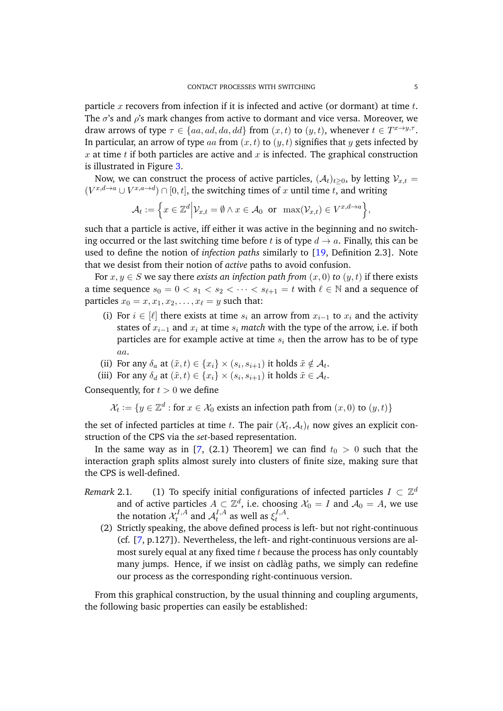particle  $x$  recovers from infection if it is infected and active (or dormant) at time  $t$ . The  $\sigma$ 's and  $\rho$ 's mark changes from active to dormant and vice versa. Moreover, we draw arrows of type  $\tau \in \{aa, ad, da, dd\}$  from  $(x, t)$  to  $(y, t)$ , whenever  $t \in T^{x \to y, \tau}$ . In particular, an arrow of type aa from  $(x, t)$  to  $(y, t)$  signifies that y gets infected by  $x$  at time  $t$  if both particles are active and  $x$  is infected. The graphical construction is illustrated in Figure [3.](#page-6-0)

Now, we can construct the process of active particles,  $(A_t)_{t>0}$ , by letting  $V_{x,t}$  =  $(V^{x,d\rightarrow a} \cup V^{x,a\rightarrow d}) \cap [0,t]$ , the switching times of x until time t, and writing

$$
\mathcal{A}_t := \Big\{ x \in \mathbb{Z}^d \Big| \mathcal{V}_{x,t} = \emptyset \land x \in \mathcal{A}_0 \text{ or } \max(\mathcal{V}_{x,t}) \in V^{x,d \to a} \Big\},\
$$

such that a particle is active, iff either it was active in the beginning and no switching occurred or the last switching time before t is of type  $d \rightarrow a$ . Finally, this can be used to define the notion of *infection paths* similarly to [\[19,](#page-19-0) Definition 2.3]. Note that we desist from their notion of *active* paths to avoid confusion.

For  $x, y \in S$  we say there *exists an infection path from*  $(x, 0)$  *to*  $(y, t)$  if there exists a time sequence  $s_0 = 0 < s_1 < s_2 < \cdots < s_{\ell+1} = t$  with  $\ell \in \mathbb{N}$  and a sequence of particles  $x_0 = x, x_1, x_2, \ldots, x_\ell = y$  such that:

- (i) For  $i \in [\ell]$  there exists at time  $s_i$  an arrow from  $x_{i-1}$  to  $x_i$  and the activity states of  $x_{i-1}$  and  $x_i$  at time  $s_i$  *match* with the type of the arrow, i.e. if both particles are for example active at time  $s_i$  then the arrow has to be of type aa.
- (ii) For any  $\delta_a$  at  $(\tilde{x}, t) \in \{x_i\} \times (s_i, s_{i+1})$  it holds  $\tilde{x} \notin \mathcal{A}_t$ .
- (iii) For any  $\delta_d$  at  $(\tilde{x}, t) \in \{x_i\} \times (s_i, s_{i+1})$  it holds  $\tilde{x} \in \mathcal{A}_t$ .

Consequently, for  $t > 0$  we define

 $\mathcal{X}_t := \{y \in \mathbb{Z}^d : \text{for } x \in \mathcal{X}_0 \text{ exists an infection path from } (x,0) \text{ to } (y,t)\}$ 

the set of infected particles at time  $t.$  The pair  $(\mathcal{X}_t,\mathcal{A}_t)_t$  now gives an explicit construction of the CPS via the *set*-based representation.

In the same way as in [\[7,](#page-18-9) (2.1) Theorem] we can find  $t_0 > 0$  such that the interaction graph splits almost surely into clusters of finite size, making sure that the CPS is well-defined.

- *Remark* 2.1. (1) To specify initial configurations of infected particles  $I \subset \mathbb{Z}^d$ and of active particles  $A \subset \mathbb{Z}^d$ , i.e. choosing  $\mathcal{X}_0 = I$  and  $\mathcal{A}_0 = A$ , we use the notation  $\mathcal{X}^{I,A}_t$  $t^{I,A}$  and  $\mathcal{A}_t^{I,A}$  $t^{I,A}$  as well as  $\xi^{I,A}_t$  $t^{1,A}$ .
	- (2) Strictly speaking, the above defined process is left- but not right-continuous (cf. [\[7,](#page-18-9) p.127]). Nevertheless, the left- and right-continuous versions are almost surely equal at any fixed time  $t$  because the process has only countably many jumps. Hence, if we insist on càdlàg paths, we simply can redefine our process as the corresponding right-continuous version.

From this graphical construction, by the usual thinning and coupling arguments, the following basic properties can easily be established: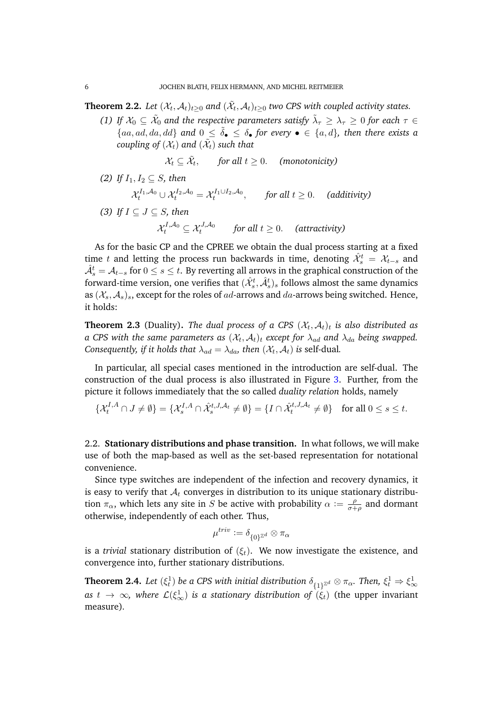<span id="page-5-0"></span>**Theorem 2.2.** Let  $(\mathcal{X}_t, \mathcal{A}_t)_{t\geq 0}$  and  $(\tilde{\mathcal{X}}_t, \mathcal{A}_t)_{t\geq 0}$  two CPS with coupled activity states.

*(1)* If  $X_0 \subseteq \tilde{X}_0$  and the respective parameters satisfy  $\tilde{\lambda}_\tau \geq \lambda_\tau \geq 0$  for each  $\tau \in$  ${aa, ad, da, dd}$  and  $0 \leq \tilde{\delta}_{\bullet} \leq \delta_{\bullet}$  for every  $\bullet \in \{a, d\}$ , then there exists a  $\mathit{coupling\ of}\ (\mathcal{X}_t)$  and  $(\tilde{\mathcal{X}}_t)$  such that

$$
\mathcal{X}_t \subseteq \tilde{\mathcal{X}}_t, \qquad \text{for all } t \geq 0. \quad \text{(monotonicity)}
$$

- *(2) If*  $I_1, I_2 \subseteq S$ *, then*
- $\mathcal{X}_t^{I_1,\mathcal{A}_0} \cup \mathcal{X}_t^{I_2,\mathcal{A}_0} = \mathcal{X}_t^{I_1 \cup I_2,\mathcal{A}_0}, \qquad \text{for all } t \geq 0.$  (additivity) *(3) If* I ⊆ J ⊆ S*, then*  $\mathcal{X}_{t}^{I,\mathcal{A}_{0}} \subseteq \mathcal{X}_{t}^{J,\mathcal{A}_{0}}$  for all  $t \geq 0$ . (attractivity)

As for the basic CP and the CPREE we obtain the dual process starting at a fixed time t and letting the process run backwards in time, denoting  $\hat{\mathcal{X}}^t_s = \mathcal{X}_{t-s}$  and  $\hat{\mathcal{A}}^t_s = \mathcal{A}_{t-s}$  for  $0 \leq s \leq t.$  By reverting all arrows in the graphical construction of the forward-time version, one verifies that  $(\hat{\mathcal{X}}^t_s, \hat{\mathcal{A}}^t_s)_s$  follows almost the same dynamics as  $(X_s, A_s)$ <sub>s</sub>, except for the roles of ad-arrows and da-arrows being switched. Hence, it holds:

<span id="page-5-2"></span>**Theorem 2.3** (Duality). The dual process of a CPS  $(\mathcal{X}_t, \mathcal{A}_t)_t$  is also distributed as a CPS with the same parameters as  $(\mathcal{X}_t,\mathcal{A}_t)_t$  except for  $\lambda_{ad}$  and  $\lambda_{da}$  being swapped. *Consequently, if it holds that*  $\lambda_{ad} = \lambda_{da}$ , then  $(\mathcal{X}_t, \mathcal{A}_t)$  is self-dual.

In particular, all special cases mentioned in the introduction are self-dual. The construction of the dual process is also illustrated in Figure [3.](#page-6-0) Further, from the picture it follows immediately that the so called *duality relation* holds, namely

$$
\{\mathcal{X}_t^{I,A} \cap J \neq \emptyset\} = \{\mathcal{X}_s^{I,A} \cap \hat{\mathcal{X}}_s^{t,J,A_t} \neq \emptyset\} = \{I \cap \hat{\mathcal{X}}_t^{t,J,A_t} \neq \emptyset\} \text{ for all } 0 \le s \le t.
$$

<span id="page-5-3"></span>2.2. **Stationary distributions and phase transition.** In what follows, we will make use of both the map-based as well as the set-based representation for notational convenience.

Since type switches are independent of the infection and recovery dynamics, it is easy to verify that  $A_t$  converges in distribution to its unique stationary distribution  $\pi_{\alpha}$ , which lets any site in S be active with probability  $\alpha := \frac{\rho}{\sigma^2}$  $\frac{\rho}{\sigma+\rho}$  and dormant otherwise, independently of each other. Thus,

$$
\mu^{triv}:=\delta_{\{0\}^{\mathbb{Z}^d}}\otimes \pi_{\alpha}
$$

is a *trivial* stationary distribution of  $(\xi_t)$ . We now investigate the existence, and convergence into, further stationary distributions.

<span id="page-5-1"></span>**Theorem 2.4.** Let  $(\xi_t^1)$  be a CPS with initial distribution  $\delta_{\{1\}^{\mathbb{Z}^d}}\otimes\pi_\alpha$ . Then,  $\xi_t^1\Rightarrow\xi_\infty^1$ as  $t$   $\to$   $\infty$ , where  $\mathcal{L}(\xi^1_\infty)$  is a stationary distribution of  $(\xi_t)$  (the upper invariant measure)*.*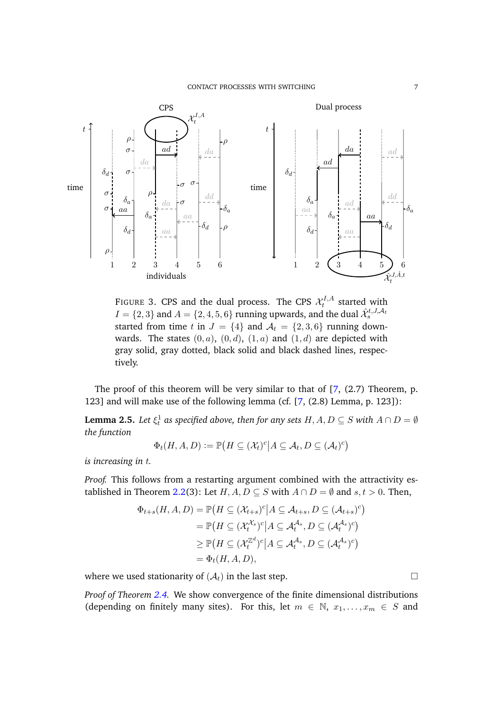<span id="page-6-0"></span>

FIGURE 3. CPS and the dual process. The CPS  $\mathcal{X}^{I,A}_t$  $t^{1,A}$  started with  $I=\{2,3\}$  and  $A=\{2,4,5,6\}$  running upwards, and the dual  $\hat{\mathcal{X}}_s^{t,J,\mathcal{A}_t}$ started from time t in  $J = \{4\}$  and  $\mathcal{A}_t = \{2, 3, 6\}$  running downwards. The states  $(0, a)$ ,  $(0, d)$ ,  $(1, a)$  and  $(1, d)$  are depicted with gray solid, gray dotted, black solid and black dashed lines, respectively.

The proof of this theorem will be very similar to that of  $[7, (2.7)$  $[7, (2.7)$  Theorem, p. 123] and will make use of the following lemma (cf. [\[7,](#page-18-9) (2.8) Lemma, p. 123]):

<span id="page-6-1"></span>**Lemma 2.5.** Let  $\xi_t^1$  as specified above, then for any sets  $H, A, D \subseteq S$  with  $A \cap D = \emptyset$ *the function*

$$
\Phi_t(H, A, D) := \mathbb{P}\big(H \subseteq (\mathcal{X}_t)^c \big| A \subseteq \mathcal{A}_t, D \subseteq (\mathcal{A}_t)^c\big)
$$

*is increasing in* t*.*

*Proof.* This follows from a restarting argument combined with the attractivity es-tablished in Theorem [2.2\(](#page-5-0)3): Let  $H, A, D \subseteq S$  with  $A \cap D = \emptyset$  and  $s, t > 0$ . Then,

$$
\Phi_{t+s}(H, A, D) = \mathbb{P}\left(H \subseteq (\mathcal{X}_{t+s})^c | A \subseteq \mathcal{A}_{t+s}, D \subseteq (\mathcal{A}_{t+s})^c\right)
$$
  
\n
$$
= \mathbb{P}\left(H \subseteq (\mathcal{X}_t^{\mathcal{X}_s})^c | A \subseteq \mathcal{A}_t^{\mathcal{A}_s}, D \subseteq (\mathcal{A}_t^{\mathcal{A}_s})^c\right)
$$
  
\n
$$
\geq \mathbb{P}\left(H \subseteq (\mathcal{X}_t^{\mathbb{Z}^d})^c | A \subseteq \mathcal{A}_t^{\mathcal{A}_s}, D \subseteq (\mathcal{A}_t^{\mathcal{A}_s})^c\right)
$$
  
\n
$$
= \Phi_t(H, A, D),
$$

where we used stationarity of  $(A_t)$  in the last step.

*Proof of Theorem [2.4.](#page-5-1)* We show convergence of the finite dimensional distributions (depending on finitely many sites). For this, let  $m \in \mathbb{N}$ ,  $x_1, \ldots, x_m \in S$  and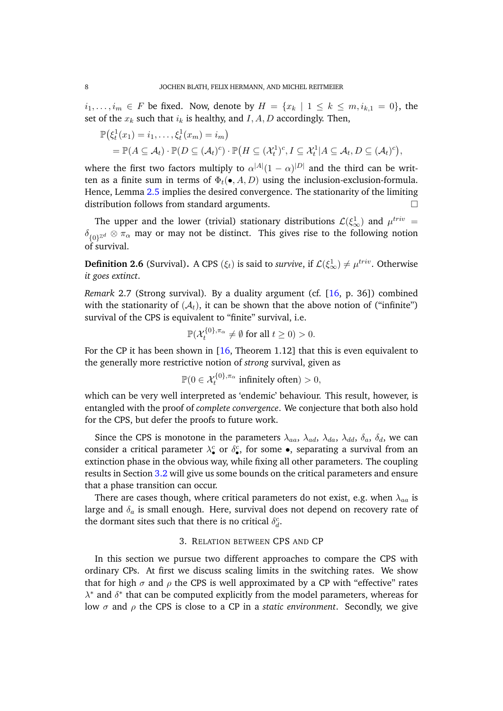$i_1, \ldots, i_m \in F$  be fixed. Now, denote by  $H = \{x_k \mid 1 \leq k \leq m, i_{k,1} = 0\}$ , the set of the  $x_k$  such that  $i_k$  is healthy, and  $I, A, D$  accordingly. Then,

$$
\mathbb{P}(\xi_t^1(x_1) = i_1, \dots, \xi_t^1(x_m) = i_m)
$$
  
=  $\mathbb{P}(A \subseteq \mathcal{A}_t) \cdot \mathbb{P}(D \subseteq (\mathcal{A}_t)^c) \cdot \mathbb{P}(H \subseteq (\mathcal{X}_t^1)^c, I \subseteq \mathcal{X}_t^1 | A \subseteq \mathcal{A}_t, D \subseteq (\mathcal{A}_t)^c),$ 

where the first two factors multiply to  $\alpha^{|A|}(1-\alpha)^{|D|}$  and the third can be written as a finite sum in terms of  $\Phi_t(\bullet, A, D)$  using the inclusion-exclusion-formula. Hence, Lemma [2.5](#page-6-1) implies the desired convergence. The stationarity of the limiting distribution follows from standard arguments.

The upper and the lower (trivial) stationary distributions  $\mathcal{L}(\xi^1_\infty)$  and  $\mu^{triv} = \xi^1$  $\delta_{\{0\}^{\mathbb{Z}^d}}\otimes \pi_\alpha$  may or may not be distinct. This gives rise to the following notion of survival.

**Definition 2.6** (Survival). A CPS  $(\xi_t)$  is said to *survive*, if  $\mathcal{L}(\xi^1_\infty) \neq \mu^{triv}$ . Otherwise *it goes extinct*.

<span id="page-7-0"></span>*Remark* 2.7 (Strong survival)*.* By a duality argument (cf. [\[16,](#page-18-10) p. 36]) combined with the stationarity of  $(A_t)$ , it can be shown that the above notion of ("infinite") survival of the CPS is equivalent to "finite" survival, i.e.

$$
\mathbb{P}(\mathcal{X}_t^{\{0\},\pi_\alpha}\neq\emptyset \text{ for all }t\geq 0)>0.
$$

For the CP it has been shown in [\[16,](#page-18-10) Theorem 1.12] that this is even equivalent to the generally more restrictive notion of *strong* survival, given as

$$
\mathbb{P}(0 \in \mathcal{X}_t^{\{0\}, \pi_\alpha} \text{ infinitely often}) > 0,
$$

which can be very well interpreted as 'endemic' behaviour. This result, however, is entangled with the proof of *complete convergence*. We conjecture that both also hold for the CPS, but defer the proofs to future work.

Since the CPS is monotone in the parameters  $\lambda_{aa}$ ,  $\lambda_{ad}$ ,  $\lambda_{da}$ ,  $\lambda_{dd}$ ,  $\delta_a$ ,  $\delta_d$ , we can consider a critical parameter  $\lambda_{\bullet}^{c}$  or  $\delta_{\bullet}^{c}$ , for some  $\bullet$ , separating a survival from an extinction phase in the obvious way, while fixing all other parameters. The coupling results in Section [3.2](#page-9-0) will give us some bounds on the critical parameters and ensure that a phase transition can occur.

There are cases though, where critical parameters do not exist, e.g. when  $\lambda_{aa}$  is large and  $\delta_a$  is small enough. Here, survival does not depend on recovery rate of the dormant sites such that there is no critical  $\delta_d^c$ .

# 3. RELATION BETWEEN CPS AND CP

<span id="page-7-1"></span>In this section we pursue two different approaches to compare the CPS with ordinary CPs. At first we discuss scaling limits in the switching rates. We show that for high  $\sigma$  and  $\rho$  the CPS is well approximated by a CP with "effective" rates  $\lambda^*$  and  $\delta^*$  that can be computed explicitly from the model parameters, whereas for low σ and ρ the CPS is close to a CP in a *static environment*. Secondly, we give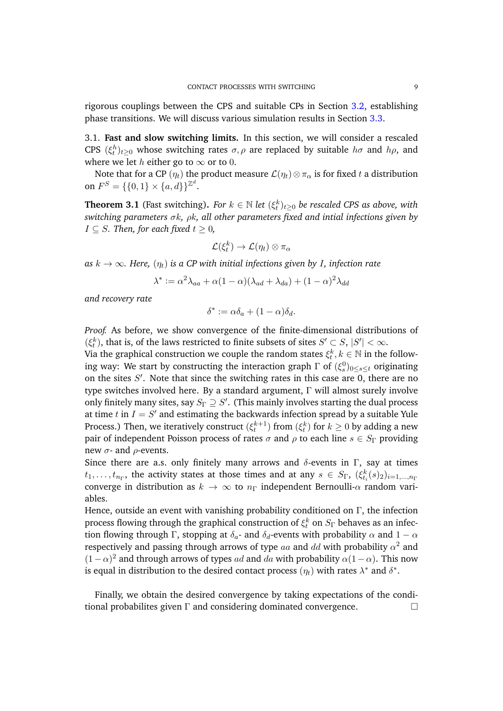rigorous couplings between the CPS and suitable CPs in Section [3.2,](#page-9-0) establishing phase transitions. We will discuss various simulation results in Section [3.3.](#page-14-1)

<span id="page-8-1"></span>3.1. **Fast and slow switching limits.** In this section, we will consider a rescaled CPS  $(\xi_t^h)_{t\geq0}$  whose switching rates  $\sigma$ ,  $\rho$  are replaced by suitable  $h\sigma$  and  $h\rho$ , and where we let *h* either go to  $\infty$  or to 0.

Note that for a CP  $(\eta_t)$  the product measure  $\mathcal{L}(\eta_t) \otimes \pi_\alpha$  is for fixed t a distribution on  $F^S = \{\{0, 1\} \times \{a, d\}\}^{\mathbb{Z}^d}$ .

<span id="page-8-0"></span>**Theorem 3.1** (Fast switching). *For*  $k \in \mathbb{N}$  *let*  $(\xi_t^k)_{t \geq 0}$  *be rescaled CPS as above, with switching parameters* σk*,* ρk*, all other parameters fixed and intial infections given by*  $I \subseteq S$ *. Then, for each fixed*  $t \geq 0$ *,* 

$$
\mathcal{L}(\xi^k_t) \to \mathcal{L}(\eta_t) \otimes \pi_{\alpha}
$$

as  $k \to \infty$ *. Here,*  $(\eta_t)$  *is a CP with initial infections given by I, infection rate* 

$$
\lambda^* := \alpha^2 \lambda_{aa} + \alpha (1 - \alpha) (\lambda_{ad} + \lambda_{da}) + (1 - \alpha)^2 \lambda_{dd}
$$

*and recovery rate*

$$
\delta^* := \alpha \delta_a + (1 - \alpha) \delta_d.
$$

*Proof.* As before, we show convergence of the finite-dimensional distributions of  $(\xi_t^k)$ , that is, of the laws restricted to finite subsets of sites  $S' \subset S$ ,  $|S'| < \infty$ .

Via the graphical construction we couple the random states  $\xi_t^k, k \in \mathbb{N}$  in the following way: We start by constructing the interaction graph  $\Gamma$  of  $(\xi_s^0)_{0\leq s\leq t}$  originating on the sites  $S'$ . Note that since the switching rates in this case are 0, there are no type switches involved here. By a standard argument, Γ will almost surely involve only finitely many sites, say  $S_{\Gamma} \supseteq S'.$  (This mainly involves starting the dual process at time  $t$  in  $I = S'$  and estimating the backwards infection spread by a suitable Yule Process.) Then, we iteratively construct  $(\xi_t^{k+1})$  from  $(\xi_t^{k})$  for  $k\geq 0$  by adding a new pair of independent Poisson process of rates  $\sigma$  and  $\rho$  to each line  $s \in S_{\Gamma}$  providing new  $σ$ - and  $ρ$ -events.

Since there are a.s. only finitely many arrows and  $\delta$ -events in Γ, say at times  $t_1,\ldots,t_{n_\Gamma},$  the activity states at those times and at any  $s\in S_\Gamma,~(\xi_{t_i}^k(s)_2)_{i=1,\ldots,n_\Gamma}$ converge in distribution as  $k \to \infty$  to  $n<sub>\Gamma</sub>$  independent Bernoulli- $\alpha$  random variables.

Hence, outside an event with vanishing probability conditioned on  $\Gamma$ , the infection process flowing through the graphical construction of  $\xi_t^k$  on  $S_\Gamma$  behaves as an infection flowing through Γ, stopping at  $\delta_a$ - and  $\delta_d$ -events with probability  $\alpha$  and  $1 - \alpha$ respectively and passing through arrows of type  $aa$  and  $dd$  with probability  $\alpha^2$  and  $(1 - \alpha)^2$  and through arrows of types ad and da with probability  $\alpha(1 - \alpha)$ . This now is equal in distribution to the desired contact process  $(\eta_t)$  with rates  $\lambda^*$  and  $\delta^*$ .

Finally, we obtain the desired convergence by taking expectations of the conditional probabilites given  $\Gamma$  and considering dominated convergence.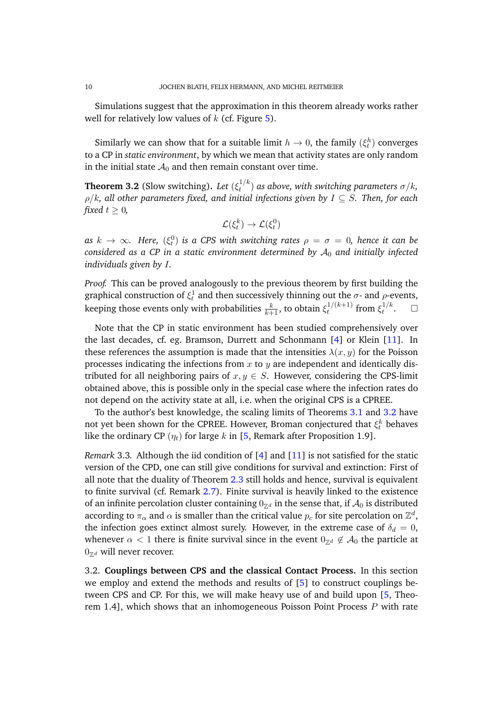Simulations suggest that the approximation in this theorem already works rather well for relatively low values of  $k$  (cf. Figure [5\)](#page-15-0).

Similarly we can show that for a suitable limit  $h \to 0$ , the family  $(\xi_t^h)$  converges to a CP in *static environment*, by which we mean that activity states are only random in the initial state  $A_0$  and then remain constant over time.

<span id="page-9-1"></span>**Theorem 3.2** (Slow switching). Let  $(\xi_t^{1/k})$  $\int_t^{1/\kappa}$ ) as above, with switching parameters  $\sigma/k_\kappa$ ρ/k*, all other parameters fixed, and initial infections given by* I ⊆ S*. Then, for each fixed*  $t > 0$ *,* 

$$
\mathcal{L}(\xi_t^k) \to \mathcal{L}(\xi_t^0)
$$

as  $k$   $\rightarrow$   $\infty$ *. Here,*  $(\xi_t^0)$  *is a CPS with switching rates*  $\rho$  $=$  $\sigma$  $=$  *0, hence it can be considered as a CP in a static environment determined by*  $A_0$  *and initially infected individuals given by* I*.*

*Proof.* This can be proved analogously to the previous theorem by first building the graphical construction of  $\xi_t^1$  and then successively thinning out the  $\sigma$ - and  $\rho$ -events, keeping those events only with probabilities  $\frac{k}{k+1}$ , to obtain  $\xi_t^{1/(k+1)}$  $\int_t^{1/(k+1)}$  from  $\xi_t^{1/k}$  $\int_t^{1/k}$ .  $\Box$ 

Note that the CP in static environment has been studied comprehensively over the last decades, cf. eg. Bramson, Durrett and Schonmann [\[4\]](#page-18-11) or Klein [\[11\]](#page-18-12). In these references the assumption is made that the intensities  $\lambda(x, y)$  for the Poisson processes indicating the infections from  $x$  to  $y$  are independent and identically distributed for all neighboring pairs of  $x, y \in S$ . However, considering the CPS-limit obtained above, this is possible only in the special case where the infection rates do not depend on the activity state at all, i.e. when the original CPS is a CPREE.

To the author's best knowledge, the scaling limits of Theorems [3.1](#page-8-0) and [3.2](#page-9-1) have not yet been shown for the CPREE. However, Broman conjectured that  $\xi_t^k$  behaves like the ordinary CP  $(\eta_t)$  for large k in [\[5,](#page-18-7) Remark after Proposition 1.9].

*Remark* 3.3. Although the iid condition of [\[4\]](#page-18-11) and [\[11\]](#page-18-12) is not satisfied for the static version of the CPD, one can still give conditions for survival and extinction: First of all note that the duality of Theorem [2.3](#page-5-2) still holds and hence, survival is equivalent to finite survival (cf. Remark [2.7\)](#page-7-0). Finite survival is heavily linked to the existence of an infinite percolation cluster containing  $0_{\mathbb{Z}^d}$  in the sense that, if  $\mathcal{A}_0$  is distributed according to  $\pi_\alpha$  and  $\alpha$  is smaller than the critical value  $p_c$  for site percolation on  $\mathbb{Z}^d,$ the infection goes extinct almost surely. However, in the extreme case of  $\delta_d = 0$ , whenever  $\alpha < 1$  there is finite survival since in the event  $0_{\mathbb{Z}^d} \notin A_0$  the particle at  $0_{\mathbb{Z}^d}$  will never recover.

<span id="page-9-0"></span>3.2. **Couplings between CPS and the classical Contact Process.** In this section we employ and extend the methods and results of [\[5\]](#page-18-7) to construct couplings between CPS and CP. For this, we will make heavy use of and build upon [\[5,](#page-18-7) Theorem 1.4], which shows that an inhomogeneous Poisson Point Process  $P$  with rate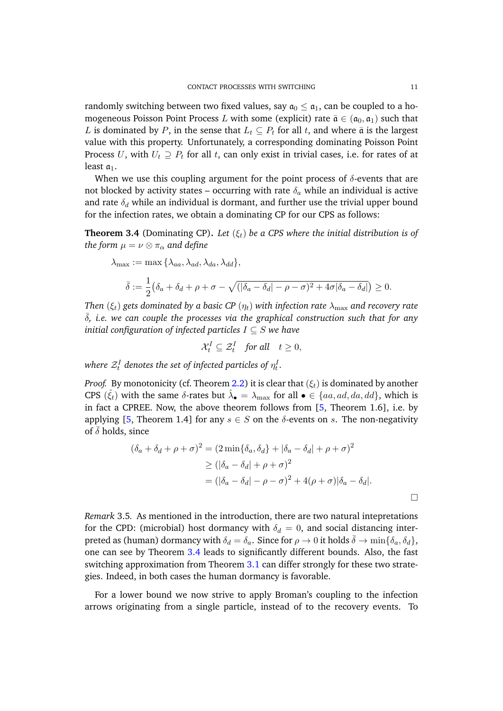randomly switching between two fixed values, say  $a_0 \le a_1$ , can be coupled to a homogeneous Poisson Point Process L with some (explicit) rate  $\bar{\mathfrak{a}} \in (\mathfrak{a}_0, \mathfrak{a}_1)$  such that L is dominated by P, in the sense that  $L_t \subseteq P_t$  for all t, and where  $\bar{a}$  is the largest value with this property. Unfortunately, a corresponding dominating Poisson Point Process U, with  $U_t \supseteq P_t$  for all t, can only exist in trivial cases, i.e. for rates of at least  $a_1$ .

When we use this coupling argument for the point process of  $\delta$ -events that are not blocked by activity states – occurring with rate  $\delta_a$  while an individual is active and rate  $\delta_d$  while an individual is dormant, and further use the trivial upper bound for the infection rates, we obtain a dominating CP for our CPS as follows:

<span id="page-10-1"></span>**Theorem 3.4** (Dominating CP). Let  $(\xi_t)$  be a CPS where the initial distribution is of *the form*  $\mu = \nu \otimes \pi_{\alpha}$  *and define* 

$$
\lambda_{\max} := \max \{ \lambda_{aa}, \lambda_{ad}, \lambda_{da}, \lambda_{dd} \},
$$
  

$$
\bar{\delta} := \frac{1}{2} (\delta_a + \delta_d + \rho + \sigma - \sqrt{(|\delta_a - \delta_d| - \rho - \sigma)^2 + 4\sigma |\delta_a - \delta_d|}) \ge 0.
$$

*Then*  $(\xi_t)$  *gets dominated by a basic CP*  $(\eta_t)$  *with infection rate*  $\lambda_{\text{max}}$  *and recovery rate* ¯δ*, i.e. we can couple the processes via the graphical construction such that for any initial configuration of infected particles* I ⊆ S *we have*

$$
\mathcal{X}_t^I \subseteq \mathcal{Z}_t^I \quad \text{for all} \quad t \ge 0,
$$

where  $\mathcal{Z}_t^{I}$  denotes the set of infected particles of  $\eta^I_t.$ 

*Proof.* By monotonicity (cf. Theorem [2.2\)](#page-5-0) it is clear that  $(\xi_t)$  is dominated by another CPS  $(\hat{\xi}_t)$  with the same  $\delta$ -rates but  $\hat{\lambda}_{\bullet} = \lambda_{\max}$  for all  $\bullet \in \{aa, ad, da, dd\}$ , which is in fact a CPREE. Now, the above theorem follows from [\[5,](#page-18-7) Theorem 1.6], i.e. by applying [\[5,](#page-18-7) Theorem 1.4] for any  $s \in S$  on the  $\delta$ -events on s. The non-negativity of  $\delta$  holds, since

$$
(\delta_a + \delta_d + \rho + \sigma)^2 = (2 \min{\delta_a, \delta_d} + |\delta_a - \delta_d| + \rho + \sigma)^2
$$
  
\n
$$
\geq (|\delta_a - \delta_d| + \rho + \sigma)^2
$$
  
\n
$$
= (|\delta_a - \delta_d| - \rho - \sigma)^2 + 4(\rho + \sigma)|\delta_a - \delta_d|.
$$

<span id="page-10-0"></span>*Remark* 3.5*.* As mentioned in the introduction, there are two natural intepretations for the CPD: (microbial) host dormancy with  $\delta_d = 0$ , and social distancing interpreted as (human) dormancy with  $\delta_d = \delta_a$ . Since for  $\rho \to 0$  it holds  $\bar{\delta} \to \min{\{\delta_a, \delta_d\}}$ , one can see by Theorem [3.4](#page-10-1) leads to significantly different bounds. Also, the fast switching approximation from Theorem [3.1](#page-8-0) can differ strongly for these two strategies. Indeed, in both cases the human dormancy is favorable.

For a lower bound we now strive to apply Broman's coupling to the infection arrows originating from a single particle, instead of to the recovery events. To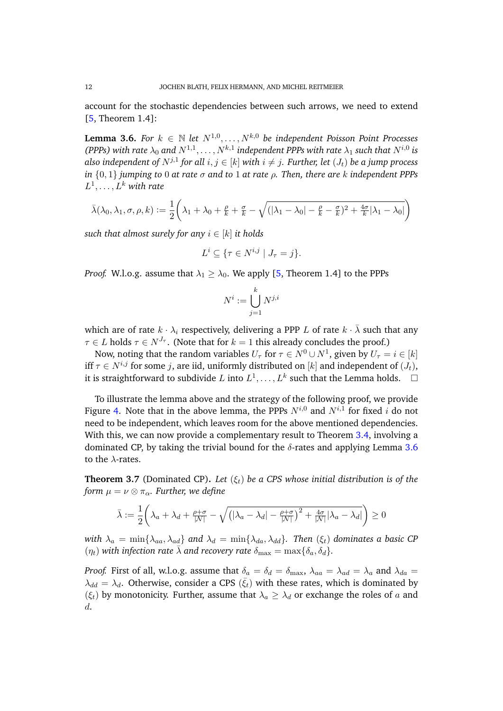account for the stochastic dependencies between such arrows, we need to extend [\[5,](#page-18-7) Theorem 1.4]:

<span id="page-11-0"></span>**Lemma 3.6.** *For*  $k \in \mathbb{N}$  *let*  $N^{1,0}, \ldots, N^{k,0}$  *be independent Poisson Point Processes (PPPs)* with rate  $\lambda_0$  and  $N^{1,1}, \ldots, N^{k,1}$  independent PPPs with rate  $\lambda_1$  such that  $N^{i,0}$  is also independent of  $N^{j,1}$  for all  $i,j\in[k]$  with  $i\neq j.$  Further, let  $(J_t)$  be a jump process *in*  $\{0, 1\}$  *jumping to* 0 *at rate*  $\sigma$  *and to* 1 *at rate*  $\rho$ . *Then, there are* k *independent PPPs*  $L^1,\ldots,L^k$  with rate

$$
\bar{\lambda}(\lambda_0, \lambda_1, \sigma, \rho, k) := \frac{1}{2} \left( \lambda_1 + \lambda_0 + \frac{\rho}{k} + \frac{\sigma}{k} - \sqrt{(|\lambda_1 - \lambda_0| - \frac{\rho}{k} - \frac{\sigma}{k})^2 + \frac{4\sigma}{k} |\lambda_1 - \lambda_0|} \right)
$$

*such that almost surely for any*  $i \in [k]$  *it holds* 

$$
L^i \subseteq \{ \tau \in N^{i,j} \mid J_\tau = j \}.
$$

*Proof.* W.l.o.g. assume that  $\lambda_1 \geq \lambda_0$ . We apply [\[5,](#page-18-7) Theorem 1.4] to the PPPs

$$
N^i:=\bigcup_{j=1}^k N^{j,i}
$$

which are of rate  $k \cdot \lambda_i$  respectively, delivering a PPP L of rate  $k \cdot \overline{\lambda}$  such that any  $\tau \in L$  holds  $\tau \in N^{J_{\tau}}$ . (Note that for  $k = 1$  this already concludes the proof.)

Now, noting that the random variables  $U_\tau$  for  $\tau\in N^0\cup N^1,$  given by  $U_\tau=i\in [k]$ iff  $\tau \in N^{i,j}$  for some j, are iid, uniformly distributed on [k] and independent of  $(J_t)$ , it is straightforward to subdivide L into  $L^1, \ldots, L^k$  such that the Lemma holds.  $\Box$ 

To illustrate the lemma above and the strategy of the following proof, we provide Figure [4.](#page-12-0) Note that in the above lemma, the PPPs  $N^{i,0}$  and  $N^{i,1}$  for fixed  $i$  do not need to be independent, which leaves room for the above mentioned dependencies. With this, we can now provide a complementary result to Theorem [3.4,](#page-10-1) involving a dominated CP, by taking the trivial bound for the  $\delta$ -rates and applying Lemma [3.6](#page-11-0) to the  $\lambda$ -rates.

<span id="page-11-1"></span>**Theorem 3.7** (Dominated CP). Let  $(\xi_t)$  be a CPS whose initial distribution is of the *form*  $\mu = \nu \otimes \pi_{\alpha}$ *. Further, we define* 

$$
\bar{\lambda} := \frac{1}{2} \left( \lambda_a + \lambda_d + \frac{\rho + \sigma}{|N|} - \sqrt{\left( |\lambda_a - \lambda_d| - \frac{\rho + \sigma}{|N|} \right)^2 + \frac{4\sigma}{|N|} |\lambda_a - \lambda_d|} \right) \ge 0
$$

*with*  $\lambda_a = \min\{\lambda_{aa}, \lambda_{ad}\}$  *and*  $\lambda_d = \min\{\lambda_{da}, \lambda_{dd}\}$ *. Then*  $(\xi_t)$  *dominates a basic CP*  $(\eta_t)$  with infection rate  $\bar{\lambda}$  and recovery rate  $\delta_{\text{max}} = \max{\{\delta_a, \delta_d\}}$ .

*Proof.* First of all, w.l.o.g. assume that  $\delta_a = \delta_d = \delta_{\text{max}}$ ,  $\lambda_{aa} = \lambda_{ad} = \lambda_a$  and  $\lambda_{da} =$  $\lambda_{dd} = \lambda_d$ . Otherwise, consider a CPS  $(\bar{\xi}_t)$  with these rates, which is dominated by ( $\xi_t$ ) by monotonicity. Further, assume that  $\lambda_a \geq \lambda_d$  or exchange the roles of a and d.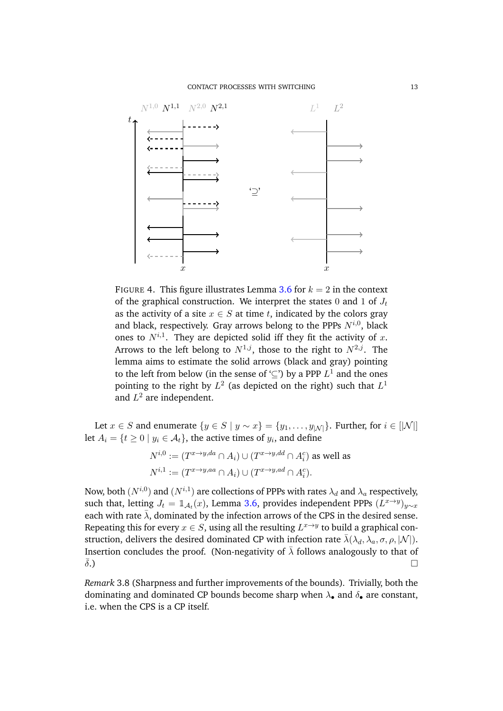<span id="page-12-0"></span>

FIGURE 4. This figure illustrates Lemma [3.6](#page-11-0) for  $k = 2$  in the context of the graphical construction. We interpret the states 0 and 1 of  $J_t$ as the activity of a site  $x \in S$  at time t, indicated by the colors gray and black, respectively. Gray arrows belong to the PPPs  $N^{i,0}$ , black ones to  $N^{i,1}$ . They are depicted solid iff they fit the activity of x. Arrows to the left belong to  $N^{1,j}$ , those to the right to  $N^{2,j}$ . The lemma aims to estimate the solid arrows (black and gray) pointing to the left from below (in the sense of ' $\subseteq$ ') by a PPP  $L^1$  and the ones pointing to the right by  $L^2$  (as depicted on the right) such that  $L^1$ and  $L^2$  are independent.

Let  $x \in S$  and enumerate  $\{y \in S \mid y \sim x\} = \{y_1, \ldots, y_{|{\cal N}|}\}\)$ . Further, for  $i \in [|{\cal N}|]\$ let  $A_i = \{t \geq 0 \mid y_i \in \mathcal{A}_t\}$ , the active times of  $y_i$ , and define

$$
N^{i,0} := (T^{x \to y,da} \cap A_i) \cup (T^{x \to y,dd} \cap A_i^c)
$$
 as well as  

$$
N^{i,1} := (T^{x \to y,aa} \cap A_i) \cup (T^{x \to y,ad} \cap A_i^c).
$$

Now, both  $(N^{i,0})$  and  $(N^{i,1})$  are collections of PPPs with rates  $\lambda_d$  and  $\lambda_a$  respectively, such that, letting  $J_t = \mathbb{1}_{\mathcal{A}_t}(x)$ , Lemma [3.6,](#page-11-0) provides independent PPPs  $(L^{x \to y})_{y \sim x}$ each with rate  $\bar{\lambda}$ , dominated by the infection arrows of the CPS in the desired sense. Repeating this for every  $x \in S$ , using all the resulting  $L^{x \to y}$  to build a graphical construction, delivers the desired dominated CP with infection rate  $\bar{\lambda}(\lambda_d, \lambda_a, \sigma, \rho, |\mathcal{N}|)$ . Insertion concludes the proof. (Non-negativity of  $\bar{\lambda}$  follows analogously to that of  $\bar{\delta}$ .)

<span id="page-12-1"></span>*Remark* 3.8 (Sharpness and further improvements of the bounds)*.* Trivially, both the dominating and dominated CP bounds become sharp when  $\lambda_{\bullet}$  and  $\delta_{\bullet}$  are constant, i.e. when the CPS is a CP itself.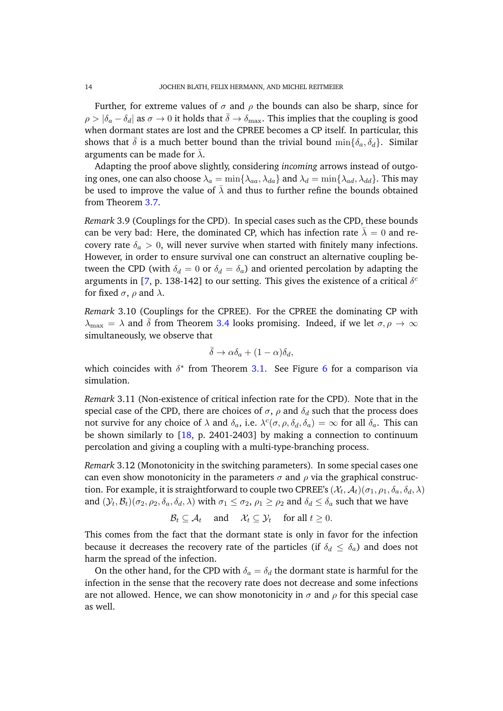Further, for extreme values of  $\sigma$  and  $\rho$  the bounds can also be sharp, since for  $\rho > |\delta_a - \delta_d|$  as  $\sigma \to 0$  it holds that  $\bar{\delta} \to \delta_{\text{max}}$ . This implies that the coupling is good when dormant states are lost and the CPREE becomes a CP itself. In particular, this shows that  $\bar{\delta}$  is a much better bound than the trivial bound min $\{\delta_a, \delta_d\}$ . Similar arguments can be made for  $\bar{\lambda}$ .

Adapting the proof above slightly, considering *incoming* arrows instead of outgoing ones, one can also choose  $\lambda_a = \min\{\lambda_{aa}, \lambda_{da}\}\$  and  $\lambda_d = \min\{\lambda_{ad}, \lambda_{dd}\}\$ . This may be used to improve the value of  $\bar{\lambda}$  and thus to further refine the bounds obtained from Theorem [3.7.](#page-11-1)

*Remark* 3.9 (Couplings for the CPD)*.* In special cases such as the CPD, these bounds can be very bad: Here, the dominated CP, which has infection rate  $\lambda = 0$  and recovery rate  $\delta_a > 0$ , will never survive when started with finitely many infections. However, in order to ensure survival one can construct an alternative coupling between the CPD (with  $\delta_d = 0$  or  $\delta_d = \delta_a$ ) and oriented percolation by adapting the arguments in [\[7,](#page-18-9) p. 138-142] to our setting. This gives the existence of a critical  $\delta^{c}$ for fixed  $\sigma$ ,  $\rho$  and  $\lambda$ .

<span id="page-13-0"></span>*Remark* 3.10 (Couplings for the CPREE)*.* For the CPREE the dominating CP with  $\lambda_{\text{max}} = \lambda$  and  $\delta$  from Theorem [3.4](#page-10-1) looks promising. Indeed, if we let  $\sigma, \rho \to \infty$ simultaneously, we observe that

$$
\bar{\delta} \to \alpha \delta_a + (1 - \alpha) \delta_d,
$$

which coincides with  $\delta^*$  from Theorem [3.1.](#page-8-0) See Figure [6](#page-15-1) for a comparison via simulation.

*Remark* 3.11 (Non-existence of critical infection rate for the CPD)*.* Note that in the special case of the CPD, there are choices of  $\sigma$ ,  $\rho$  and  $\delta_d$  such that the process does not survive for any choice of  $\lambda$  and  $\delta_a$ , i.e.  $\lambda^c(\sigma, \rho, \delta_d, \delta_a) = \infty$  for all  $\delta_a$ . This can be shown similarly to [\[18,](#page-18-13) p. 2401-2403] by making a connection to continuum percolation and giving a coupling with a multi-type-branching process.

*Remark* 3.12 (Monotonicity in the switching parameters)*.* In some special cases one can even show monotonicity in the parameters  $\sigma$  and  $\rho$  via the graphical construction. For example, it is straightforward to couple two CPREE's  $(\mathcal{X}_t,\mathcal{A}_t) (\sigma_1,\rho_1,\delta_a,\delta_d,\lambda)$ and  $(\mathcal{Y}_t,\mathcal{B}_t)$  $(\sigma_2,\rho_2,\delta_a,\delta_d,\lambda)$  with  $\sigma_1\leq\sigma_2$ ,  $\rho_1\geq\rho_2$  and  $\delta_d\leq\delta_a$  such that we have

$$
\mathcal{B}_t \subseteq \mathcal{A}_t \quad \text{and} \quad \mathcal{X}_t \subseteq \mathcal{Y}_t \quad \text{for all } t \geq 0.
$$

This comes from the fact that the dormant state is only in favor for the infection because it decreases the recovery rate of the particles (if  $\delta_d \leq \delta_a$ ) and does not harm the spread of the infection.

On the other hand, for the CPD with  $\delta_a = \delta_d$  the dormant state is harmful for the infection in the sense that the recovery rate does not decrease and some infections are not allowed. Hence, we can show monotonicity in  $\sigma$  and  $\rho$  for this special case as well.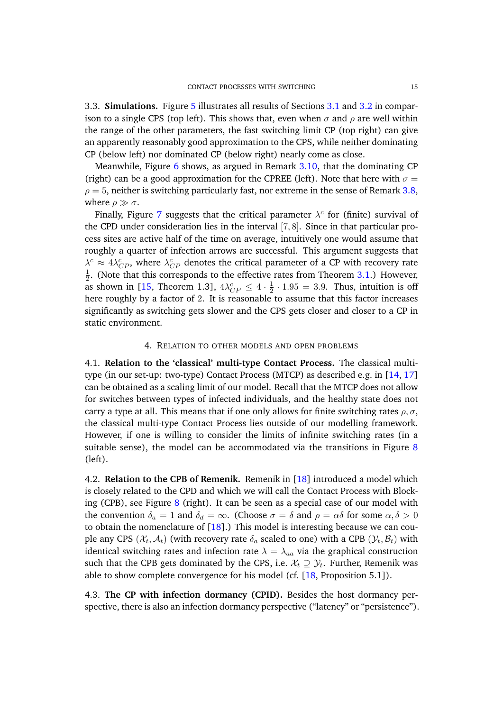<span id="page-14-1"></span>3.3. **Simulations.** Figure [5](#page-15-0) illustrates all results of Sections [3.1](#page-8-1) and [3.2](#page-9-0) in comparison to a single CPS (top left). This shows that, even when  $\sigma$  and  $\rho$  are well within the range of the other parameters, the fast switching limit CP (top right) can give an apparently reasonably good approximation to the CPS, while neither dominating CP (below left) nor dominated CP (below right) nearly come as close.

Meanwhile, Figure [6](#page-15-1) shows, as argued in Remark [3.10,](#page-13-0) that the dominating CP (right) can be a good approximation for the CPREE (left). Note that here with  $\sigma =$  $\rho = 5$ , neither is switching particularly fast, nor extreme in the sense of Remark [3.8,](#page-12-1) where  $\rho \gg \sigma$ .

Finally, Figure [7](#page-16-0) suggests that the critical parameter  $\lambda^c$  for (finite) survival of the CPD under consideration lies in the interval [7, 8]. Since in that particular process sites are active half of the time on average, intuitively one would assume that roughly a quarter of infection arrows are successful. This argument suggests that  $\lambda^c \approx 4\lambda_{CP}^c$ , where  $\lambda_{CP}^c$  denotes the critical parameter of a CP with recovery rate 1  $\frac{1}{2}$ . (Note that this corresponds to the effective rates from Theorem [3.1.](#page-8-0)) However, as shown in [\[15,](#page-18-14) Theorem 1.3],  $4\lambda_{CP}^c \leq 4 \cdot \frac{1}{2}$  $\frac{1}{2} \cdot 1.95 = 3.9$ . Thus, intuition is off here roughly by a factor of 2. It is reasonable to assume that this factor increases significantly as switching gets slower and the CPS gets closer and closer to a CP in static environment.

## 4. RELATION TO OTHER MODELS AND OPEN PROBLEMS

4.1. **Relation to the 'classical' multi-type Contact Process.** The classical multitype (in our set-up: two-type) Contact Process (MTCP) as described e.g. in [\[14,](#page-18-15) [17\]](#page-18-16) can be obtained as a scaling limit of our model. Recall that the MTCP does not allow for switches between types of infected individuals, and the healthy state does not carry a type at all. This means that if one only allows for finite switching rates  $\rho$ ,  $\sigma$ , the classical multi-type Contact Process lies outside of our modelling framework. However, if one is willing to consider the limits of infinite switching rates (in a suitable sense), the model can be accommodated via the transitions in Figure [8](#page-16-1) (left).

4.2. **Relation to the CPB of Remenik.** Remenik in [\[18\]](#page-18-13) introduced a model which is closely related to the CPD and which we will call the Contact Process with Blocking (CPB), see Figure  $8$  (right). It can be seen as a special case of our model with the convention  $\delta_a = 1$  and  $\delta_d = \infty$ . (Choose  $\sigma = \delta$  and  $\rho = \alpha \delta$  for some  $\alpha, \delta > 0$ to obtain the nomenclature of [\[18\]](#page-18-13).) This model is interesting because we can couple any CPS  $(\mathcal{X}_t, \mathcal{A}_t)$  (with recovery rate  $\delta_a$  scaled to one) with a CPB  $(\mathcal{Y}_t, \mathcal{B}_t)$  with identical switching rates and infection rate  $\lambda = \lambda_{aa}$  via the graphical construction such that the CPB gets dominated by the CPS, i.e.  $\mathcal{X}_t \supseteq \mathcal{Y}_t$ . Further, Remenik was able to show complete convergence for his model (cf. [\[18,](#page-18-13) Proposition 5.1]).

<span id="page-14-0"></span>4.3. **The CP with infection dormancy (CPID).** Besides the host dormancy perspective, there is also an infection dormancy perspective ("latency" or "persistence").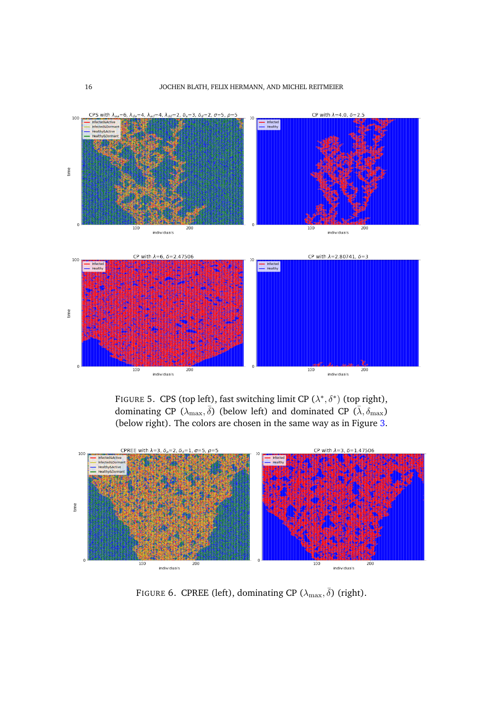<span id="page-15-0"></span>

FIGURE 5. CPS (top left), fast switching limit CP  $(\lambda^*, \delta^*)$  (top right), dominating CP  $(\lambda_{\max},\bar{\delta})$  (below left) and dominated CP  $(\bar{\lambda},\delta_{\max})$ (below right). The colors are chosen in the same way as in Figure [3.](#page-6-0)

<span id="page-15-1"></span>

FIGURE 6. CPREE (left), dominating CP ( $\lambda_{\text{max}}, \bar{\delta}$ ) (right).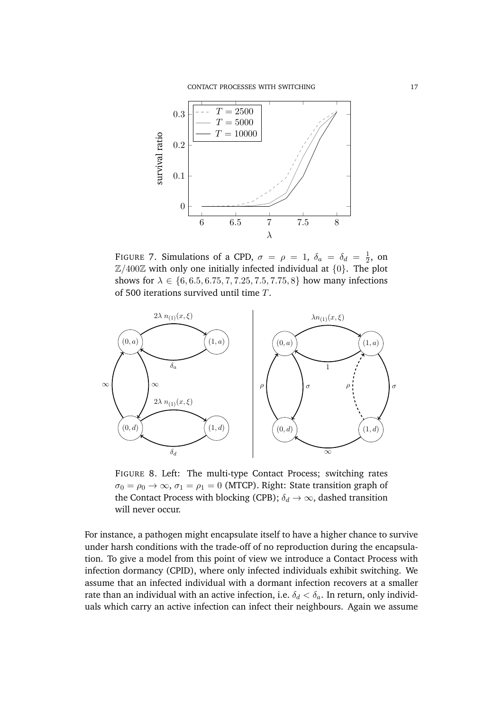<span id="page-16-0"></span>

FIGURE 7. Simulations of a CPD,  $\sigma = \rho = 1$ ,  $\delta_a = \delta_d = \frac{1}{2}$  $\frac{1}{2}$ , on  $\mathbb{Z}/400\mathbb{Z}$  with only one initially infected individual at  $\{0\}$ . The plot shows for  $\lambda \in \{6, 6.5, 6.75, 7, 7.25, 7.5, 7.75, 8\}$  how many infections of 500 iterations survived until time T.

<span id="page-16-1"></span>

FIGURE 8. Left: The multi-type Contact Process; switching rates  $\sigma_0 = \rho_0 \rightarrow \infty$ ,  $\sigma_1 = \rho_1 = 0$  (MTCP). Right: State transition graph of the Contact Process with blocking (CPB);  $\delta_d \rightarrow \infty$ , dashed transition will never occur.

For instance, a pathogen might encapsulate itself to have a higher chance to survive under harsh conditions with the trade-off of no reproduction during the encapsulation. To give a model from this point of view we introduce a Contact Process with infection dormancy (CPID), where only infected individuals exhibit switching. We assume that an infected individual with a dormant infection recovers at a smaller rate than an individual with an active infection, i.e.  $\delta_d < \delta_a$ . In return, only individuals which carry an active infection can infect their neighbours. Again we assume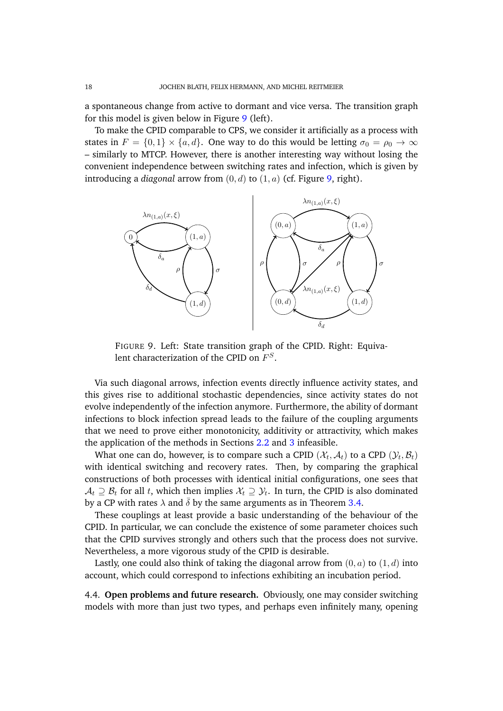a spontaneous change from active to dormant and vice versa. The transition graph for this model is given below in Figure [9](#page-17-0) (left).

To make the CPID comparable to CPS, we consider it artificially as a process with states in  $F = \{0, 1\} \times \{a, d\}$ . One way to do this would be letting  $\sigma_0 = \rho_0 \to \infty$ – similarly to MTCP. However, there is another interesting way without losing the convenient independence between switching rates and infection, which is given by introducing a *diagonal* arrow from (0, d) to (1, a) (cf. Figure [9,](#page-17-0) right).

<span id="page-17-0"></span>

FIGURE 9. Left: State transition graph of the CPID. Right: Equivalent characterization of the CPID on  $F^S.$ 

Via such diagonal arrows, infection events directly influence activity states, and this gives rise to additional stochastic dependencies, since activity states do not evolve independently of the infection anymore. Furthermore, the ability of dormant infections to block infection spread leads to the failure of the coupling arguments that we need to prove either monotonicity, additivity or attractivity, which makes the application of the methods in Sections [2.2](#page-5-3) and [3](#page-7-1) infeasible.

What one can do, however, is to compare such a CPID  $(\mathcal{X}_t,\mathcal{A}_t)$  to a CPD  $(\mathcal{Y}_t,\mathcal{B}_t)$ with identical switching and recovery rates. Then, by comparing the graphical constructions of both processes with identical initial configurations, one sees that  $\mathcal{A}_t \supseteq \mathcal{B}_t$  for all  $t$ , which then implies  $\mathcal{X}_t \supseteq \mathcal{Y}_t$ . In turn, the CPID is also dominated by a CP with rates  $\lambda$  and  $\overline{\delta}$  by the same arguments as in Theorem [3.4.](#page-10-1)

These couplings at least provide a basic understanding of the behaviour of the CPID. In particular, we can conclude the existence of some parameter choices such that the CPID survives strongly and others such that the process does not survive. Nevertheless, a more vigorous study of the CPID is desirable.

Lastly, one could also think of taking the diagonal arrow from  $(0, a)$  to  $(1, d)$  into account, which could correspond to infections exhibiting an incubation period.

4.4. **Open problems and future research.** Obviously, one may consider switching models with more than just two types, and perhaps even infinitely many, opening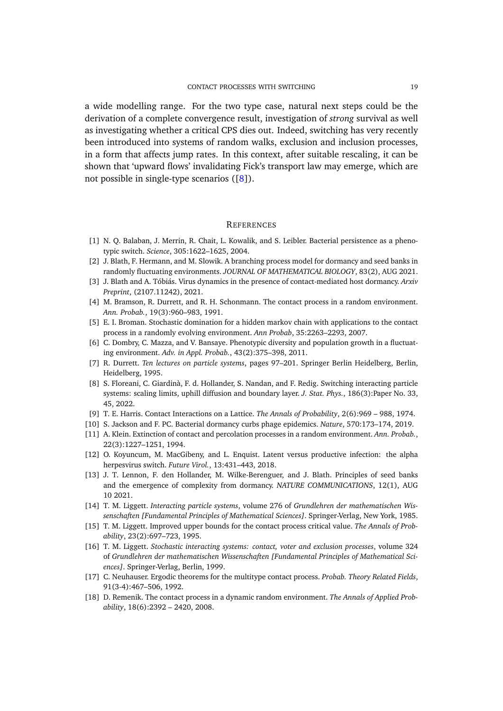a wide modelling range. For the two type case, natural next steps could be the derivation of a complete convergence result, investigation of *strong* survival as well as investigating whether a critical CPS dies out. Indeed, switching has very recently been introduced into systems of random walks, exclusion and inclusion processes, in a form that affects jump rates. In this context, after suitable rescaling, it can be shown that 'upward flows' invalidating Fick's transport law may emerge, which are not possible in single-type scenarios ([\[8\]](#page-18-17)).

#### **REFERENCES**

- <span id="page-18-0"></span>[1] N. Q. Balaban, J. Merrin, R. Chait, L. Kowalik, and S. Leibler. Bacterial persistence as a phenotypic switch. *Science*, 305:1622–1625, 2004.
- <span id="page-18-2"></span>[2] J. Blath, F. Hermann, and M. Slowik. A branching process model for dormancy and seed banks in randomly fluctuating environments. *JOURNAL OF MATHEMATICAL BIOLOGY*, 83(2), AUG 2021.
- <span id="page-18-5"></span>[3] J. Blath and A. Tóbiás. Virus dynamics in the presence of contact-mediated host dormancy. Arxiv *Preprint*, (2107.11242), 2021.
- <span id="page-18-11"></span>[4] M. Bramson, R. Durrett, and R. H. Schonmann. The contact process in a random environment. *Ann. Probab.*, 19(3):960–983, 1991.
- <span id="page-18-7"></span>[5] E. I. Broman. Stochastic domination for a hidden markov chain with applications to the contact process in a randomly evolving environment. *Ann Probab*, 35:2263–2293, 2007.
- <span id="page-18-1"></span>[6] C. Dombry, C. Mazza, and V. Bansaye. Phenotypic diversity and population growth in a fluctuating environment. *Adv. in Appl. Probab.*, 43(2):375–398, 2011.
- <span id="page-18-9"></span>[7] R. Durrett. *Ten lectures on particle systems*, pages 97–201. Springer Berlin Heidelberg, Berlin, Heidelberg, 1995.
- <span id="page-18-17"></span>[8] S. Floreani, C. Giardinà, F. d. Hollander, S. Nandan, and F. Redig. Switching interacting particle systems: scaling limits, uphill diffusion and boundary layer. *J. Stat. Phys.*, 186(3):Paper No. 33, 45, 2022.
- <span id="page-18-8"></span>[9] T. E. Harris. Contact Interactions on a Lattice. *The Annals of Probability*, 2(6):969 – 988, 1974.
- <span id="page-18-4"></span>[10] S. Jackson and F. PC. Bacterial dormancy curbs phage epidemics. *Nature*, 570:173–174, 2019.
- <span id="page-18-12"></span>[11] A. Klein. Extinction of contact and percolation processes in a random environment. *Ann. Probab.*, 22(3):1227–1251, 1994.
- <span id="page-18-6"></span>[12] O. Koyuncum, M. MacGibeny, and L. Enquist. Latent versus productive infection: the alpha herpesvirus switch. *Future Virol.*, 13:431–443, 2018.
- <span id="page-18-3"></span>[13] J. T. Lennon, F. den Hollander, M. Wilke-Berenguer, and J. Blath. Principles of seed banks and the emergence of complexity from dormancy. *NATURE COMMUNICATIONS*, 12(1), AUG 10 2021.
- <span id="page-18-15"></span>[14] T. M. Liggett. *Interacting particle systems*, volume 276 of *Grundlehren der mathematischen Wissenschaften [Fundamental Principles of Mathematical Sciences]*. Springer-Verlag, New York, 1985.
- <span id="page-18-14"></span>[15] T. M. Liggett. Improved upper bounds for the contact process critical value. *The Annals of Probability*, 23(2):697–723, 1995.
- <span id="page-18-10"></span>[16] T. M. Liggett. *Stochastic interacting systems: contact, voter and exclusion processes*, volume 324 of *Grundlehren der mathematischen Wissenschaften [Fundamental Principles of Mathematical Sciences]*. Springer-Verlag, Berlin, 1999.
- <span id="page-18-16"></span>[17] C. Neuhauser. Ergodic theorems for the multitype contact process. *Probab. Theory Related Fields*, 91(3-4):467–506, 1992.
- <span id="page-18-13"></span>[18] D. Remenik. The contact process in a dynamic random environment. *The Annals of Applied Probability*, 18(6):2392 – 2420, 2008.